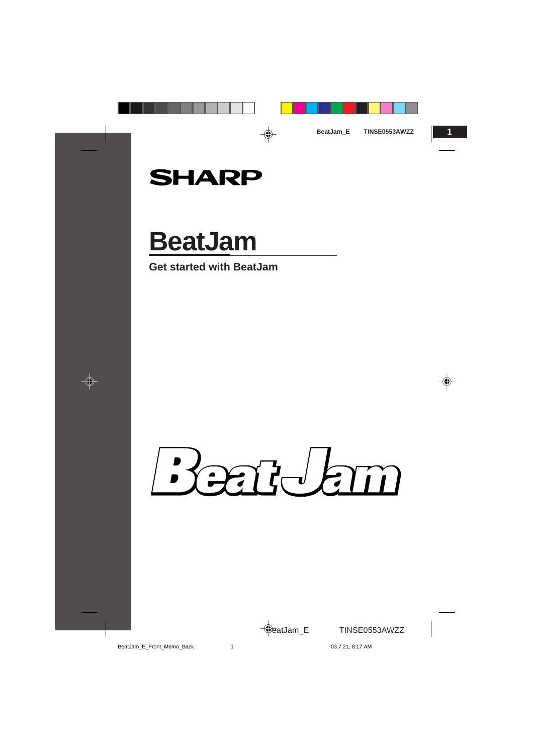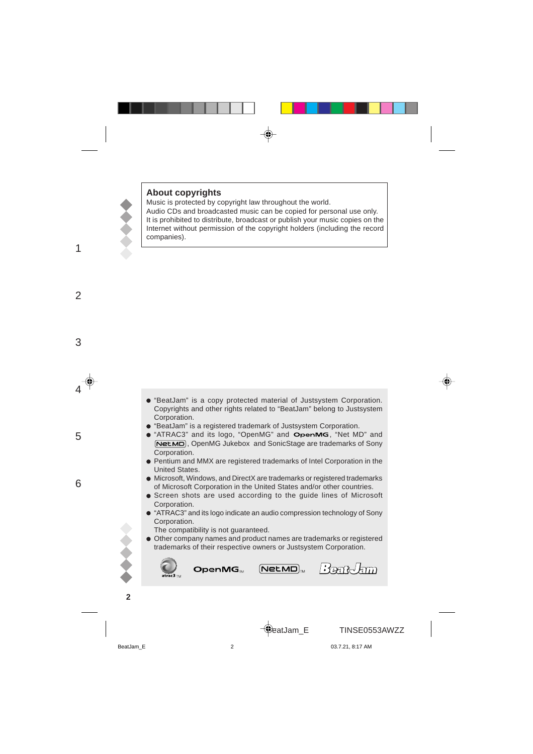#### **About copyrights**

Music is protected by copyright law throughout the world. Audio CDs and broadcasted music can be copied for personal use only. It is prohibited to distribute, broadcast or publish your music copies on the Internet without permission of the copyright holders (including the record companies).

2

1

3

4

5

6

"BeatJam" is a copy protected material of Justsystem Corporation. Copyrights and other rights related to "BeatJam" belong to Justsystem Corporation. "BeatJam" is a registered trademark of Justsystem Corporation. "ATRAC3" and its logo, "OpenMG" and OpenMG, "Net MD" and (NetMD), OpenMG Jukebox and SonicStage are trademarks of Sony Corporation. Pentium and MMX are registered trademarks of Intel Corporation in the United States. Microsoft, Windows, and DirectX are trademarks or registered trademarks of Microsoft Corporation in the United States and/or other countries. **•** Screen shots are used according to the guide lines of Microsoft Corporation. "ATRAC3" and its logo indicate an audio compression technology of Sony  $\bullet$ Corporation. The compatibility is not guaranteed. Other company names and product names are trademarks or registered trademarks of their respective owners or Justsystem Corporation. BearJam **OpenMG**<sub>M</sub>  $[\overline{\mathsf{NetMD}}]_{\scriptscriptstyle TM}$ **2 BeatJam\_E** TINSE0553AWZZ

BeatJam\_E 2 03.7.21, 8:17 AM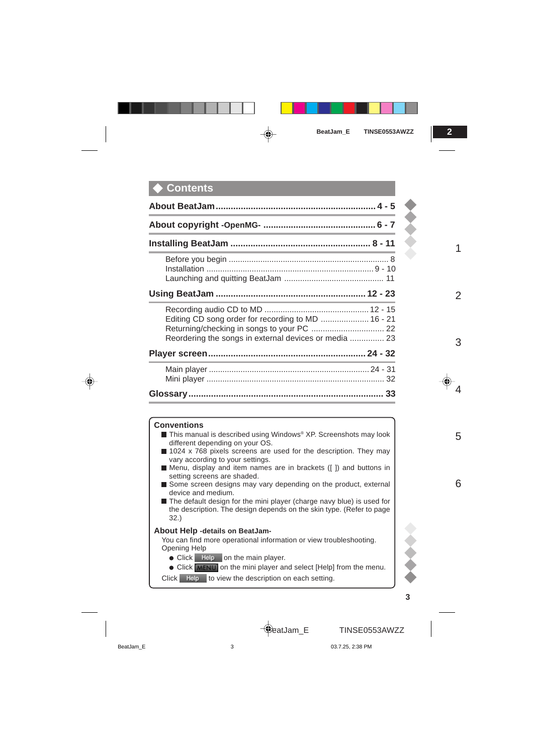**BeatJam\_E TINSE0553AWZZ 2** ¢

1

2

3

 $\bigoplus_4$ 

## **Contents About BeatJam................................................................ 4 - 5 About copyright -OpenMG- ............................................. 6 - 7 Installing BeatJam ........................................................ 8 - 11** Before you begin ....................................................................... 8 Installation .......................................................................... 9 - 10 Launching and quitting BeatJam ............................................ 11

| Editing CD song order for recording to MD  16 - 21    |  |
|-------------------------------------------------------|--|
| Reordering the songs in external devices or media  23 |  |
|                                                       |  |
|                                                       |  |
|                                                       |  |
|                                                       |  |
|                                                       |  |

#### **Conventions**

| ■ This manual is described using Windows <sup>®</sup> XP. Screenshots may look<br>different depending on your OS.<br>1024 x 768 pixels screens are used for the description. They may<br>vary according to your settings.<br>Menu, display and item names are in brackets ([ ]) and buttons in<br>setting screens are shaded. |  |  |  |  |  |
|-------------------------------------------------------------------------------------------------------------------------------------------------------------------------------------------------------------------------------------------------------------------------------------------------------------------------------|--|--|--|--|--|
| Some screen designs may vary depending on the product, external<br>device and medium.<br>The default design for the mini player (charge navy blue) is used for<br>the description. The design depends on the skin type. (Refer to page<br>32.                                                                                 |  |  |  |  |  |
| About Help -details on BeatJam-<br>You can find more operational information or view troubleshooting.<br>Opening Help                                                                                                                                                                                                         |  |  |  |  |  |
| $\bullet$ Click<br>Help<br>on the main player.                                                                                                                                                                                                                                                                                |  |  |  |  |  |

- Click **MENU** on the mini player and select [Help] from the menu.  $Click$  Help to view the description on each setting.
- 



BeatJam\_E 3 03.7.25, 2:38 PM

**BeatJam\_E** TINSE0553AWZZ

6

5

**3**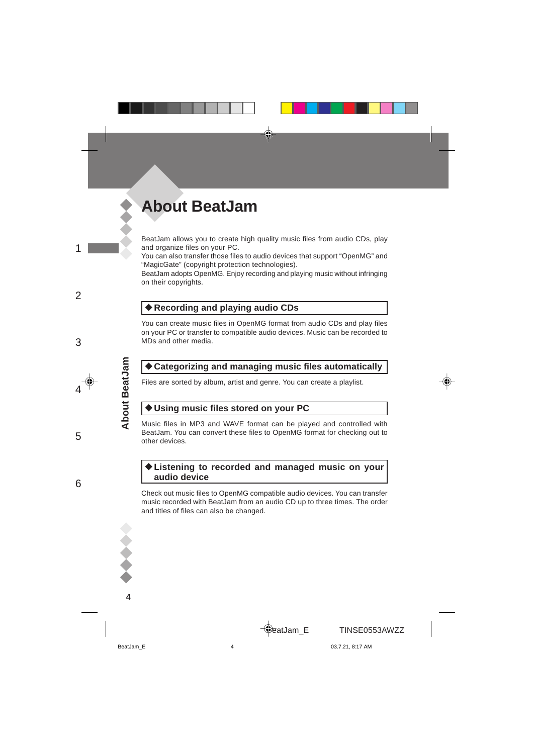# **About BeatJam**

1

2

3

4

5

6

BeatJam allows you to create high quality music files from audio CDs, play and organize files on your PC.

Ó

You can also transfer those files to audio devices that support "OpenMG" and "MagicGate" (copyright protection technologies).

BeatJam adopts OpenMG. Enjoy recording and playing music without infringing on their copyrights.

#### **Recording and playing audio CDs**

You can create music files in OpenMG format from audio CDs and play files on your PC or transfer to compatible audio devices. Music can be recorded to MDs and other media.

#### **Categorizing and managing music files automatically**

Files are sorted by album, artist and genre. You can create a playlist.

#### **Using music files stored on your PC**

Music files in MP3 and WAVE format can be played and controlled with BeatJam. You can convert these files to OpenMG format for checking out to other devices.

#### **Listening to recorded and managed music on your audio device**

Check out music files to OpenMG compatible audio devices. You can transfer music recorded with BeatJam from an audio CD up to three times. The order and titles of files can also be changed.



**BeatJam\_E** TINSE0553AWZZ

**4**<br> **4**<br> **4**<br> **4**<br> **4**<br> **4**<br> **4** 

About BeatJam

BeatJam\_E 4 03.7.21, 8:17 AM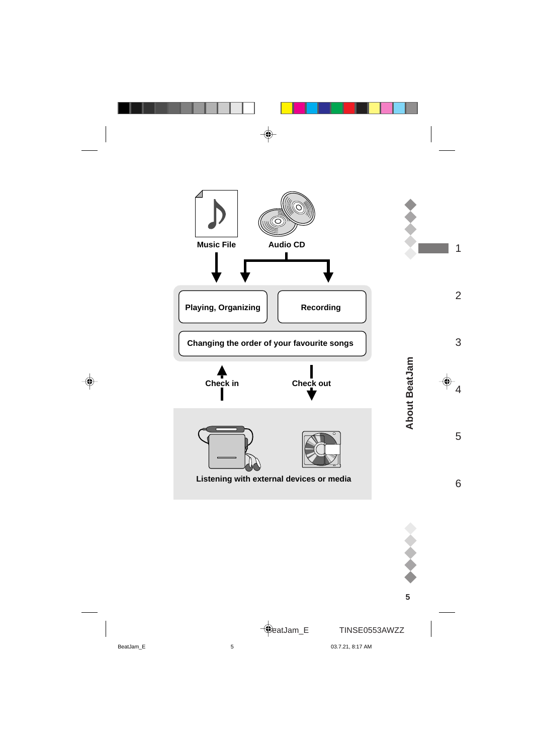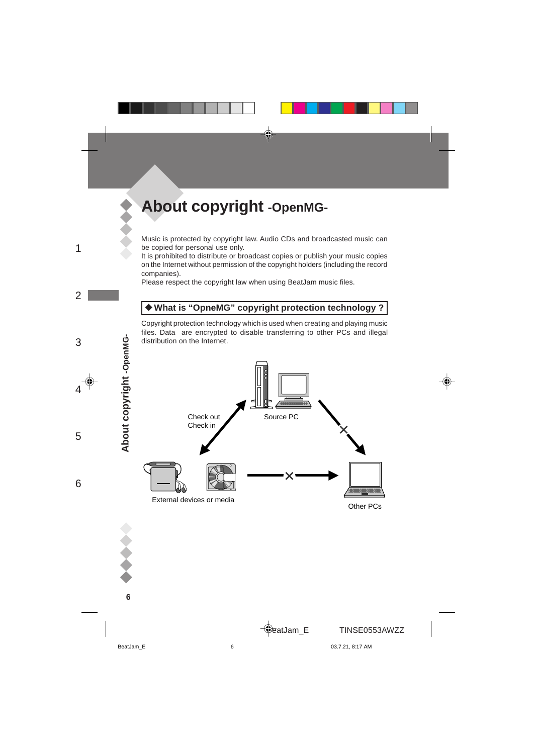# **About copyright -OpenMG-**

1

2

Music is protected by copyright law. Audio CDs and broadcasted music can be copied for personal use only.

♦

It is prohibited to distribute or broadcast copies or publish your music copies on the Internet without permission of the copyright holders (including the record companies).

Please respect the copyright law when using BeatJam music files.

#### **What is "OpneMG" copyright protection technology ?**

Copyright protection technology which is used when creating and playing music files. Data are encrypted to disable transferring to other PCs and illegal distribution on the Internet.

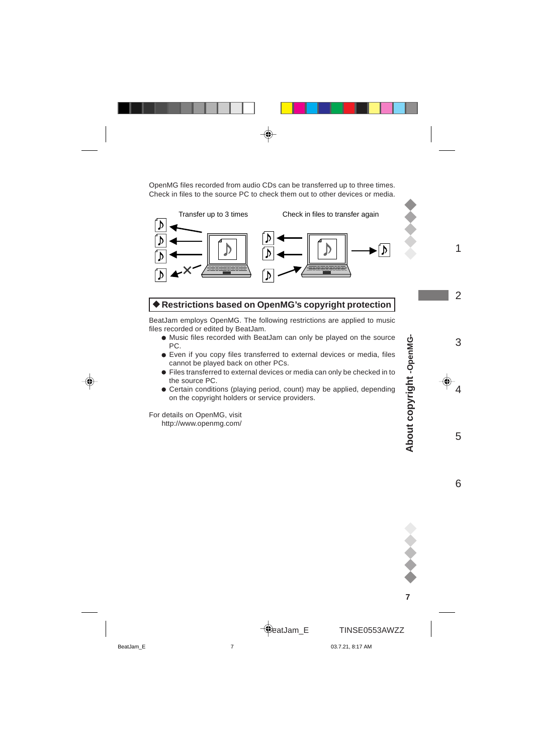♦

OpenMG files recorded from audio CDs can be transferred up to three times. Check in files to the source PC to check them out to other devices or media.



#### **Restrictions based on OpenMG's copyright protection**

BeatJam employs OpenMG. The following restrictions are applied to music files recorded or edited by BeatJam.

- Music files recorded with BeatJam can only be played on the source PC.
- Even if you copy files transferred to external devices or media, files cannot be played back on other PCs.
- Files transferred to external devices or media can only be checked in to the source PC.
- Certain conditions (playing period, count) may be applied, depending on the copyright holders or service providers.

For details on OpenMG, visit http://www.openmg.com/

About copyright -OpenMG-

1

2

6



**BeatJam\_E** TINSE0553AWZZ

BeatJam\_E 7 03.7.21, 8:17 AM

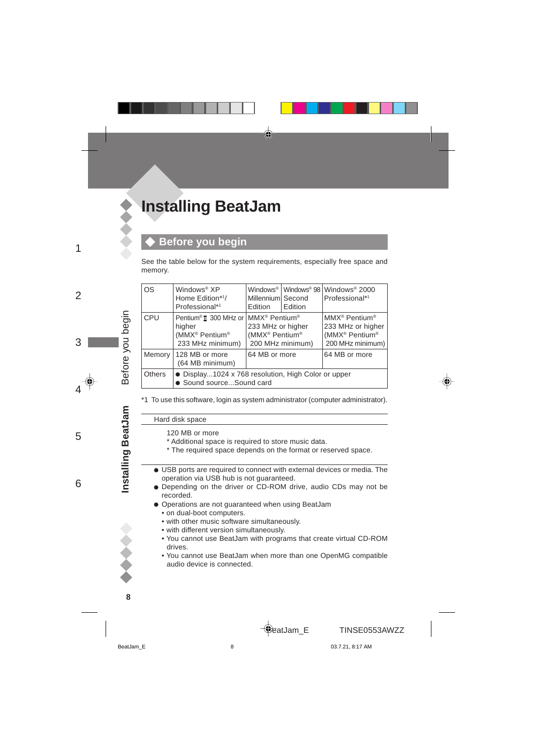# **Installing BeatJam**

### **Before you begin**

See the table below for the system requirements, especially free space and memory.

♠

| OS            | Windows <sup>®</sup> XP<br>Home Edition*1/<br>Professional*1                                               | Millennium Second<br>Edition                                                                          | Edition          | Windows <sup>®</sup> Windows <sup>®</sup> 98   Windows® 2000<br>Professional*1                                           |  |  |
|---------------|------------------------------------------------------------------------------------------------------------|-------------------------------------------------------------------------------------------------------|------------------|--------------------------------------------------------------------------------------------------------------------------|--|--|
| <b>CPU</b>    | Pentium <sup>®</sup> II 300 MHz or<br>higher<br>(MMX <sup>®</sup> Pentium <sup>®</sup><br>233 MHz minimum) | IMMX <sup>®</sup> Pentium <sup>®</sup><br>233 MHz or higher<br>(MMX <sup>®</sup> Pentium <sup>®</sup> | 200 MHz minimum) | MMX <sup>®</sup> Pentium <sup>®</sup><br>233 MHz or higher<br>(MMX <sup>®</sup> Pentium <sup>®</sup><br>200 MHz minimum) |  |  |
| Memory        | 128 MB or more<br>(64 MB minimum)                                                                          | 64 MB or more                                                                                         |                  | 64 MB or more                                                                                                            |  |  |
| <b>Others</b> | • Display1024 x 768 resolution, High Color or upper<br>· Sound sourceSound card                            |                                                                                                       |                  |                                                                                                                          |  |  |

\*1 To use this software, login as system administrator (computer administrator).

Hard disk space

- 120 MB or more
	- \* Additional space is required to store music data.
	- \* The required space depends on the format or reserved space.
- USB ports are required to connect with external devices or media. The operation via USB hub is not guaranteed.
- Depending on the driver or CD-ROM drive, audio CDs may not be recorded.
- Operations are not guaranteed when using BeatJam
	- on dual-boot computers.
	- with other music software simultaneously.
	- with different version simultaneously.
	- You cannot use BeatJam with programs that create virtual CD-ROM drives.
	- You cannot use BeatJam when more than one OpenMG compatible audio device is connected.

**88Installing BeatJam** Before you begin

 $\mathbf{a}$ 

1

2

3

Before you begin

Installing BeatJam

4

5

6

**BeatJam\_E** TINSE0553AWZZ

BeatJam\_E 8 03.7.21, 8:17 AM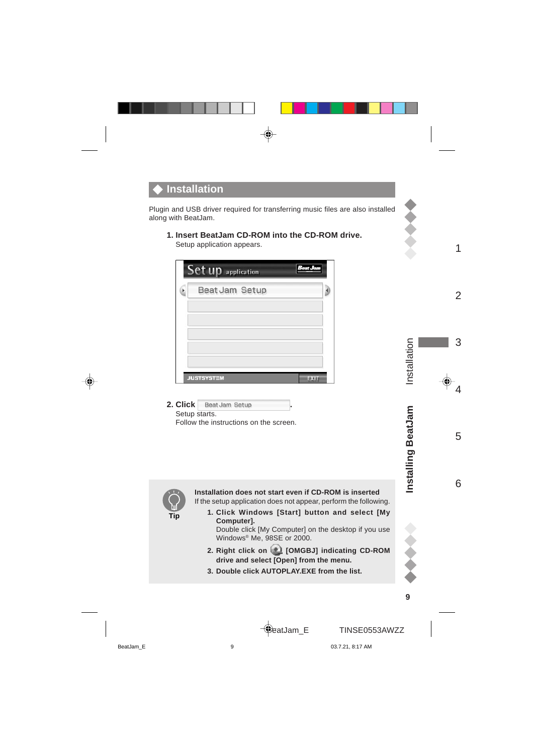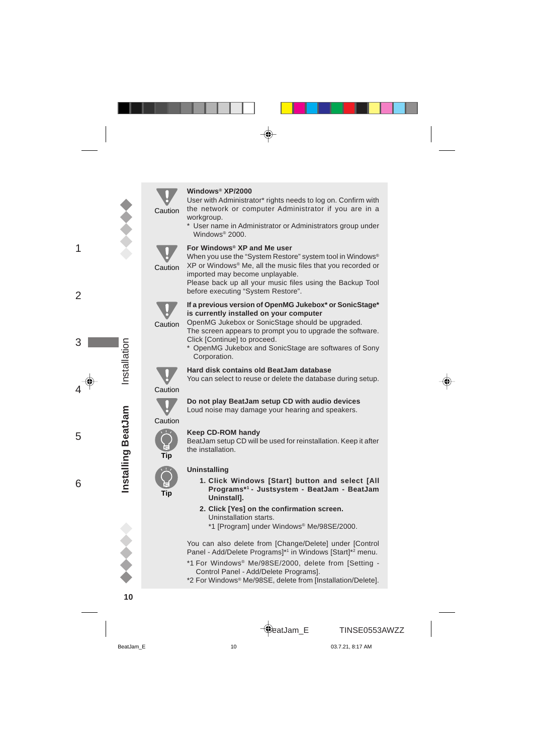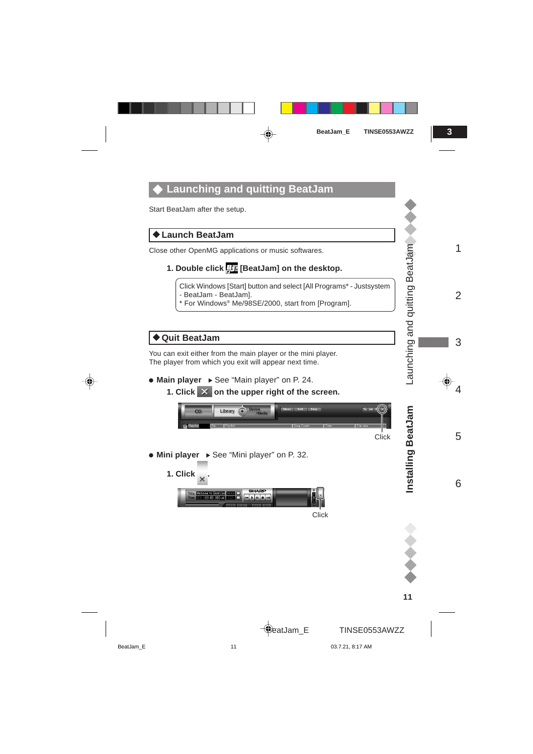

## **Launching and quitting BeatJam**

Start BeatJam after the setup.

◈

## Launching and quitting BeatJam **Launch BeatJam 1 444444 11Installing BeatJam** Launching and quitting BeatJam 1 Close other OpenMG applications or music softwares. 1. Double click  $\frac{1}{2}E$  [BeatJam] on the desktop. Click Windows [Start] button and select [All Programs\* - Justsystem - BeatJam - BeatJam]. 2 \* For Windows® Me/98SE/2000, start from [Program]. **Quit BeatJam** 3 You can exit either from the main player or the mini player. The player from which you exit will appear next time.  $\bigoplus_4$ ● Main player ▶ See "Main player" on P. 24. 1. Click  $\times$  on the upper right of the screen. Installing BeatJam Library  $(\widehat{+)}$  Dev  $\mathbb{E}[\mathbf{w}] = \mathbf{m}$ 5 Click ● Mini player ▶ See "Mini player" on P. 32. **1. Click .** 6 **SHARI SPARP**<br>0 000:00:00 | UB | CO | 100 | 100 | 100 | 100 | 100 | 100 | 100 | 100 | 100 | 100 | 101 | 101 | 101 | 101 | 10 Click  $11$ **BeatJam\_E** TINSE0553AWZZ BeatJam\_E 11 03.7.21, 8:17 AM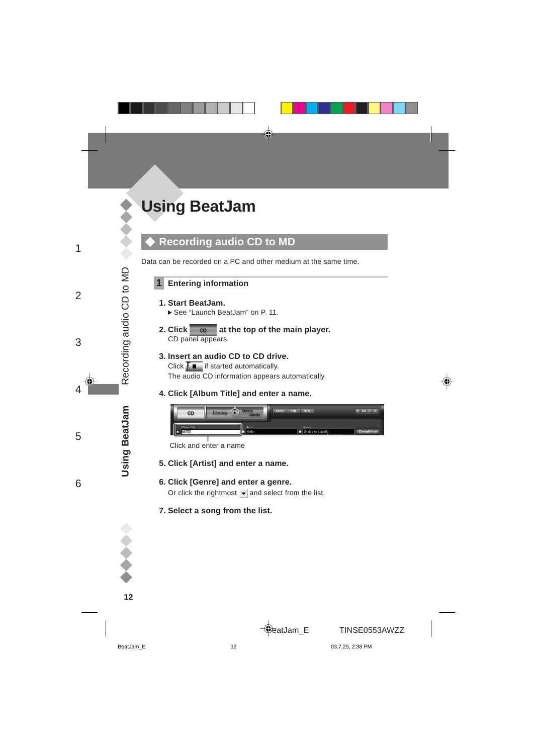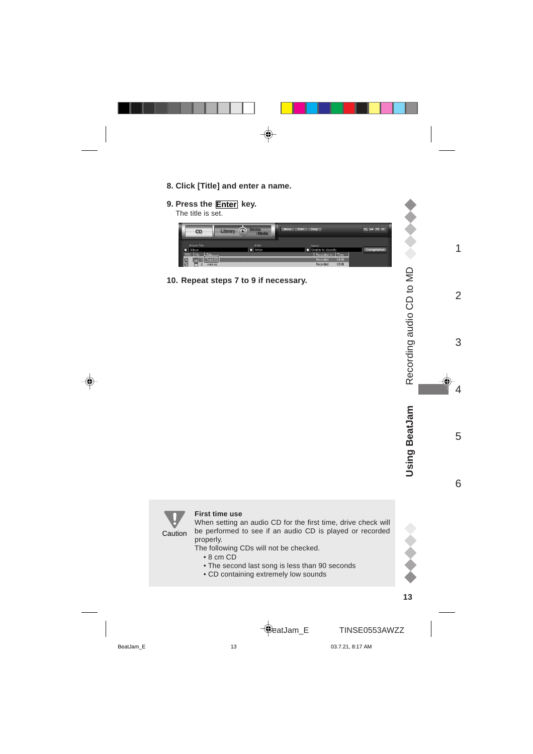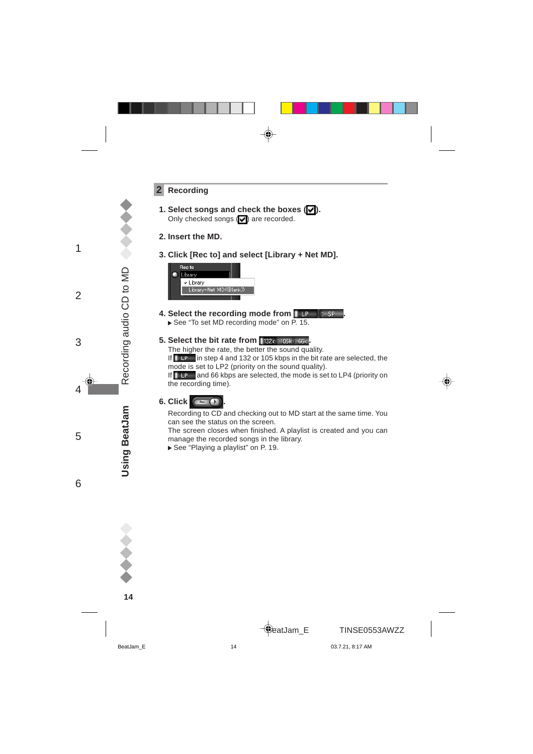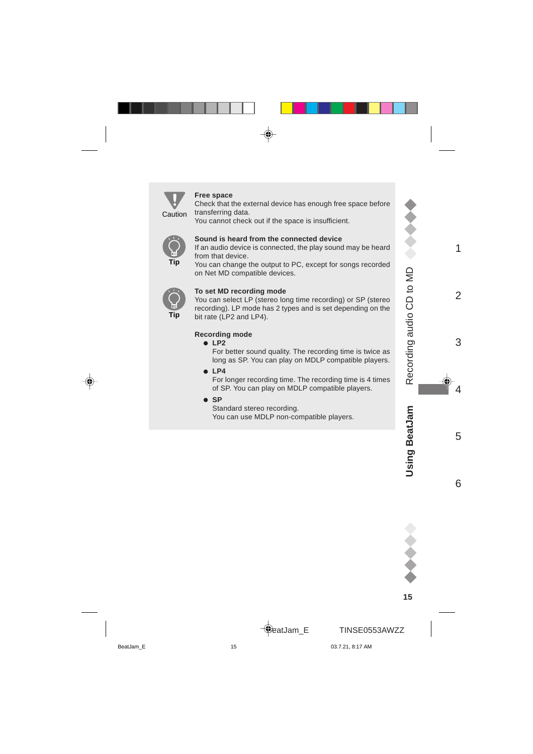

### **Free space**

**Caution** Check that the external device has enough free space before transferring data.

You cannot check out if the space is insufficient.



#### **Sound is heard from the connected device**

If an audio device is connected, the play sound may be heard from that device.

You can change the output to PC, except for songs recorded on Net MD compatible devices.



#### **To set MD recording mode**

You can select LP (stereo long time recording) or SP (stereo recording). LP mode has 2 types and is set depending on the bit rate (LP2 and LP4).

### **Recording mode**

**LP2**

For better sound quality. The recording time is twice as long as SP. You can play on MDLP compatible players.

**LP4**

For longer recording time. The recording time is 4 times of SP. You can play on MDLP compatible players.

#### **SP**

Standard stereo recording. You can use MDLP non-compatible players.







**BeatJam\_E** TINSE0553AWZZ

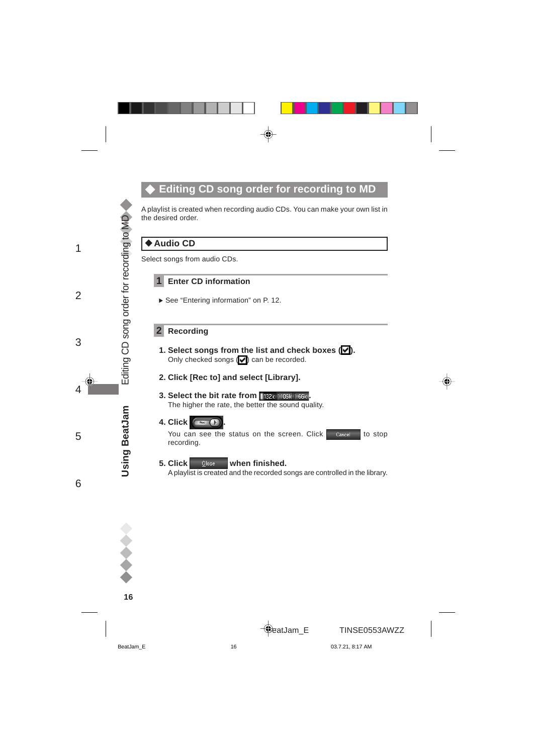### **Editing CD song order for recording to MD**

A playlist is created when recording audio CDs. You can make your own list in the desired order.

#### ◆ Audio CD

1

2

3

4

5

6

Select songs from audio CDs.

#### **1 Enter CD information**

▶ See "Entering information" on P. 12.

#### **2 Recording**

- 1. Select songs from the list and check boxes ( $\blacksquare$ ). Only checked songs  $(\vee)$  can be recorded.
- **2. Click [Rec to] and select [Library].**
- **3. Select the bit rate from 132k 105k 66k** The higher the rate, the better the sound quality.

#### **4. Click .**

You can see the status on the screen. Click Cancel to stop recording.

**5. Click example 9 when finished.** A playlist is created and the recorded songs are controlled in the library.

16

**16Using BeatJam** Editing CD song order for recording to MD

Using BeatJam

Editing CD song order for recording to MD

**BeatJam\_E** TINSE0553AWZZ

BeatJam\_E 16 16 03.7.21, 8:17 AM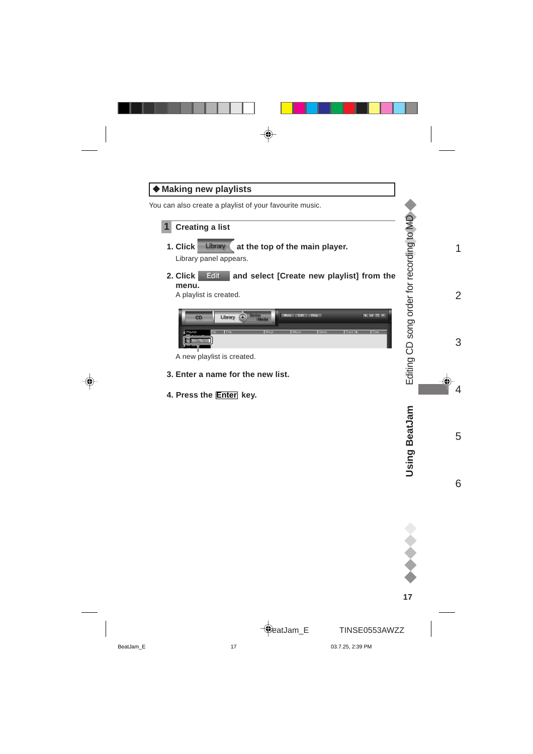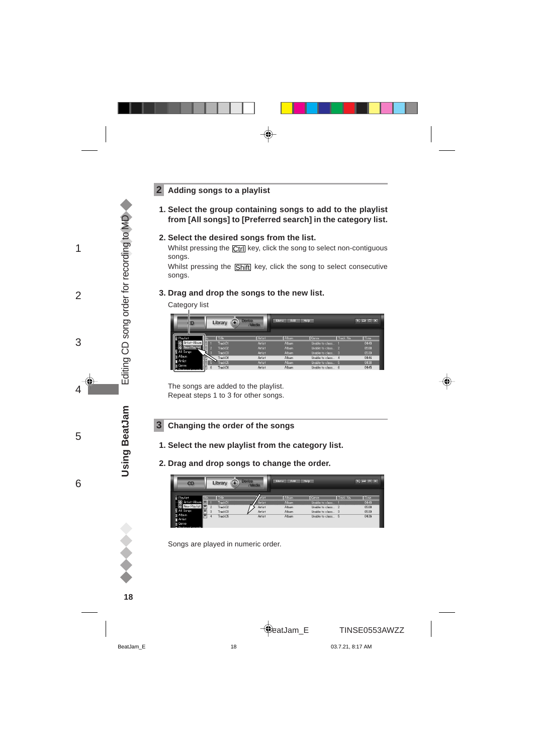

#### **2 Adding songs to a playlist**

**1. Select the group containing songs to add to the playlist from [All songs] to [Preferred search] in the category list.**

#### **2. Select the desired songs from the list.**

Whilst pressing the Ctrl key, click the song to select non-contiguous songs.

Whilst pressing the **Shift** key, click the song to select consecutive songs.

#### **3. Drag and drop the songs to the new list.**

Category list

|           | HD                      |                         |         | <b>Device</b><br>/ Media | Edit<br>Menu | Help              |               | $\Sigma$ $\Box$ $\Box$ |
|-----------|-------------------------|-------------------------|---------|--------------------------|--------------|-------------------|---------------|------------------------|
| lavlist   |                         | v                       | litle   | Artist                   | Album        | Genre             | Track No.     | Time                   |
|           | rtist-Album             |                         | Track01 | Artist                   | <b>Album</b> | Unable to class   |               | 04:48                  |
|           |                         | п                       | Track02 | Artist                   | Album        | Unable to class 2 |               | 05.08                  |
| All Sones |                         | ĸ                       | Track03 | Artist                   | <b>Album</b> | Unable to class 3 |               | 0530                   |
| Album     |                         |                         | Track04 | Artist                   | Album        | Unable to class   | $\mathcal{A}$ | 04:46                  |
| Artist    |                         | $\overline{\mathbf{a}}$ | Track05 | Artist                   | <b>Album</b> | Unable to class 5 |               | 04:36                  |
| Genre     | <b>Deployeed</b> agreed | 6                       | Track06 | Artist                   | Album        | Unable to class 6 |               | 04:45                  |

The songs are added to the playlist. Repeat steps 1 to 3 for other songs.

#### **3 Changing the order of the songs**

**1. Select the new playlist from the category list.**

#### **2. Drag and drop songs to change the order.**

| <b>CD</b>                          |         | Library | <b>Device</b><br>/ Media | Edit<br>Menu | Help            |                | $x = \pm x$ |
|------------------------------------|---------|---------|--------------------------|--------------|-----------------|----------------|-------------|
| <b>&amp;</b> Playlist              | No.     | Title   | Artist                   | <b>Album</b> | Genre           | Track No.      | Time        |
| Ξ<br>Artist-Album                  | 心       | Track01 | Artist                   | Album        | Unable to class |                | 04:48       |
| New Playlist<br><b>N</b> All Sones | 2       | Track02 | Artist                   | Album        | Unable to class | $\overline{2}$ | 0508        |
| Abum                               | ۱m<br>з | Track03 | Artist                   | Album        | Unable to class | 3              | 05:30       |
| Artist<br><b>EA</b>                | U<br>л  | Track05 | Artist                   | Album        | Unable to class | 5              | 04:36       |

Songs are played in numeric order.

**ISING** BeatID Society Construction CO society Construction Construction CDM and CONSTRUCT CONSTRUCTION OF RECORDING TO MOVE TO MANAGEMENT CONSTRUCTION OF RECORDING TO MANAGEMENT CONSTRUCTION OF RECORDING TO MANAGEMENT CO 18

1

2

Editing CD song order for recording to MD

Using BeatJam

3

4

5

6

**BeatJam\_E** TINSE0553AWZZ

BeatJam\_E 18 18 03.7.21, 8:17 AM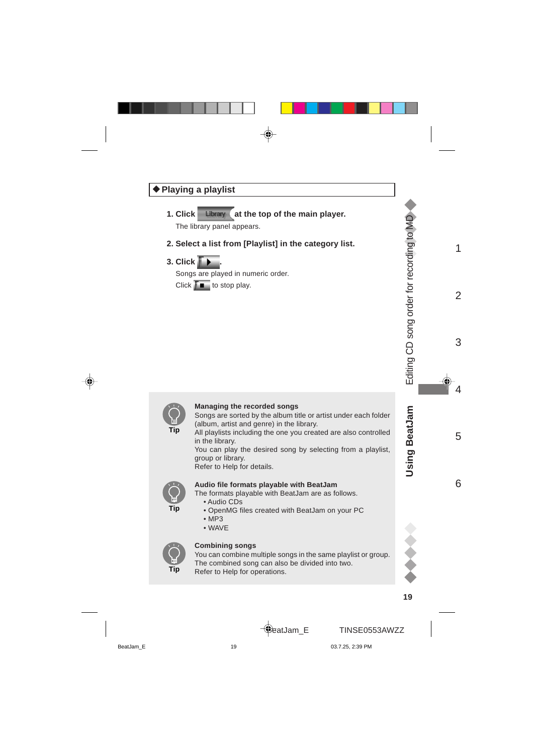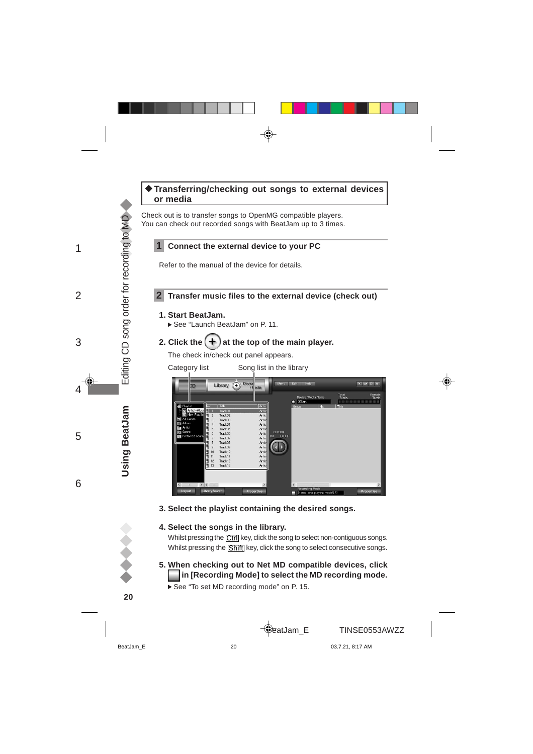#### **Transferring/checking out songs to external devices or media**

Check out is to transfer songs to OpenMG compatible players. You can check out recorded songs with BeatJam up to 3 times.

#### **1 Connect the external device to your PC**

Refer to the manual of the device for details.

#### **2 Transfer music files to the external device (check out)**

- **1. Start BeatJam.**
	- ▶ See "Launch BeatJam" on P. 11.

#### 2. Click the  $\left( + \right)$  at the top of the main player.

- The check in/check out panel appears.
- Category list Song list in the library



**3. Select the playlist containing the desired songs.**

**4. Select the songs in the library.**

Whilst pressing the  $\overline{Ctrl}$  key, click the song to select non-contiguous songs. Whilst pressing the **Shift** key, click the song to select consecutive songs.

**5. When checking out to Net MD compatible devices, click**  $\blacksquare$  in [Recording Mode] to select the MD recording mode. ► See "To set MD recording mode" on P. 15.

**20Using BeatIS BeatHaman BeatJame BeatHam BeatHam BeatHame CONDET Some CONDET Some CONDET Some CONDET Some CONDET**  $20$ 

1

2

Editing CD song order for recording to MD

**Using BeatJam** 

3

4

5

6



**BeatJam\_E** TINSE0553AWZZ

BeatJam\_E 20 20 03.7.21, 8:17 AM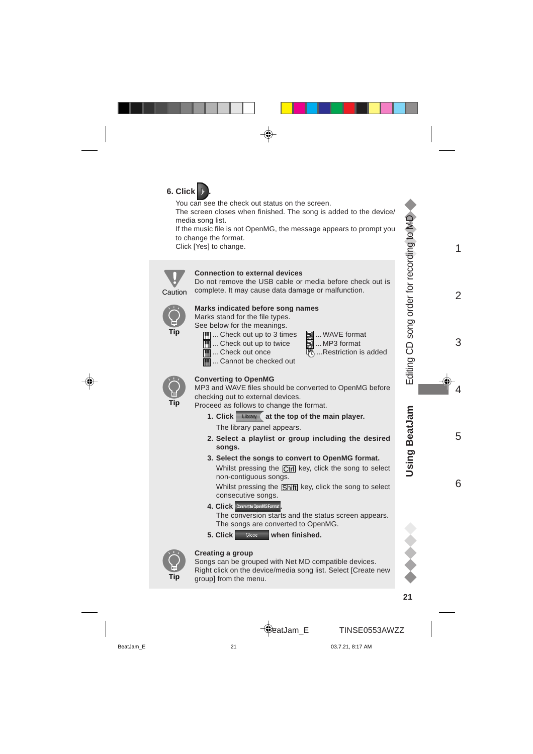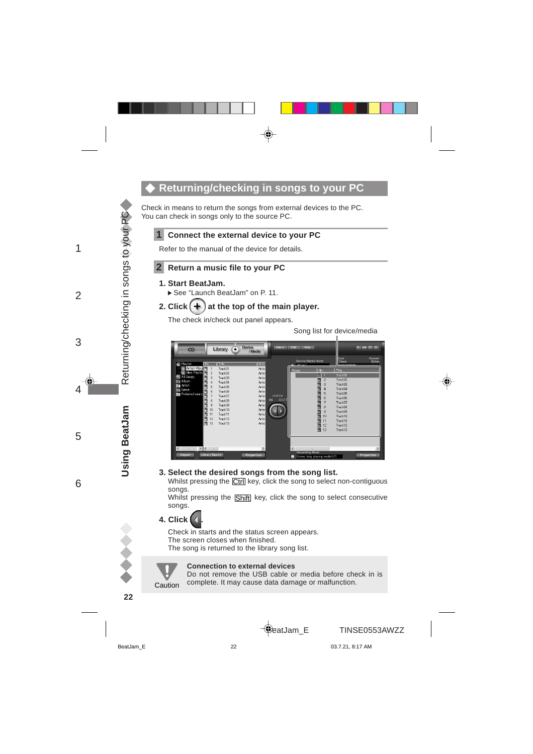### **Returning/checking in songs to your PC**

Check in means to return the songs from external devices to the PC. You can check in songs only to the source PC.

#### **1 Connect the external device to your PC**

Refer to the manual of the device for details.

#### **2 Return a music file to your PC**

- **1. Start BeatJam.**
- ▶ See "Launch BeatJam" on P. 11.

#### 2. Click  $(+)$  at the top of the main player.

The check in/check out panel appears.

Song list for device/media



#### **3. Select the desired songs from the song list.**

Whilst pressing the Ctrl key, click the song to select non-contiguous songs.

Whilst pressing the **Shift** key, click the song to select consecutive songs.

### **4. Click .**

Check in starts and the status screen appears. The screen closes when finished. The song is returned to the library song list.

#### **Connection to external devices**

**Caution** Do not remove the USB cable or media before check in is complete. It may cause data damage or malfunction.

**22Using BeatJam** Returning/checking in songs to your PC  $22$ 

1

2

Returning/checking in songs to your PC

**Using BeatJam** 

3

4

5

6



**BeatJam\_E** TINSE0553AWZZ

BeatJam\_E 22 03.7.21, 8:17 AM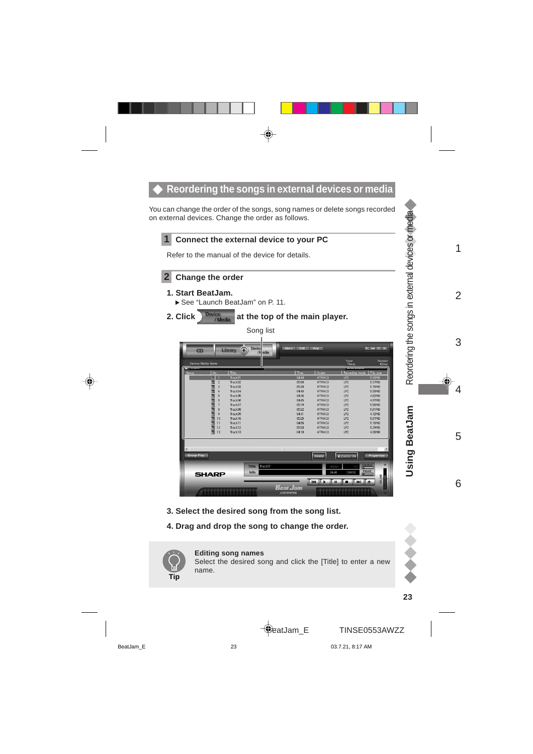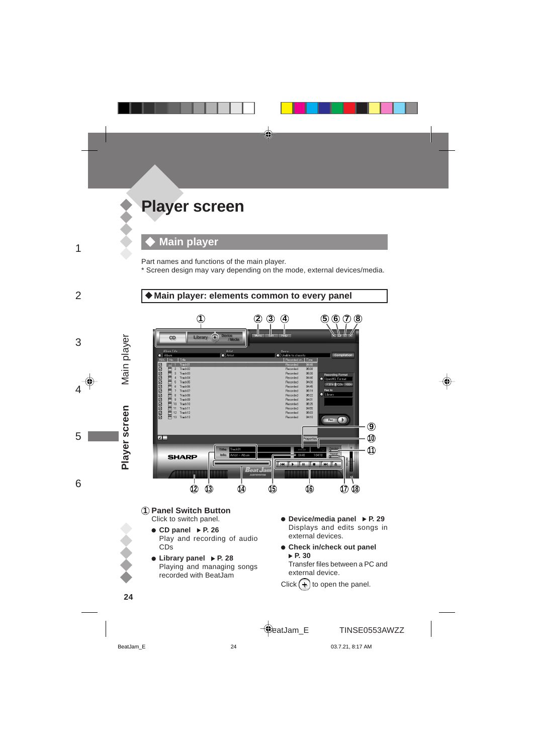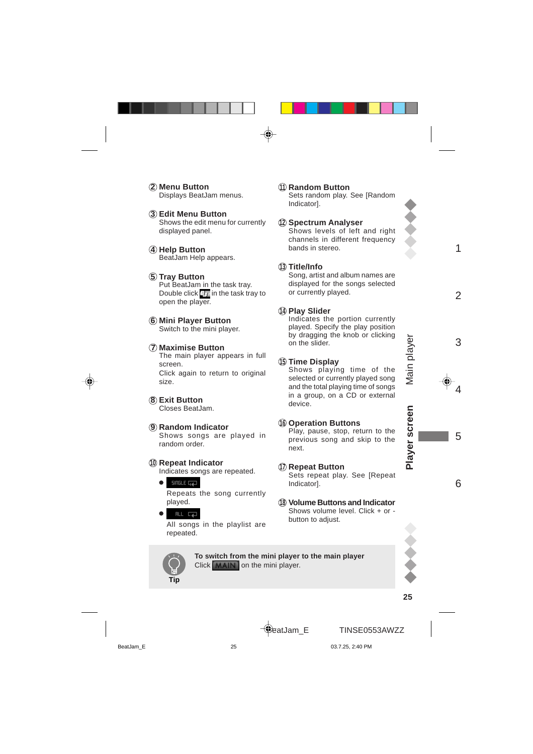

- **3 Edit Menu Button** Shows the edit menu for currently displayed panel.
- **4 Help Button** BeatJam Help appears.

**5 Tray Button** Put BeatJam in the task tray. Double click  $\frac{1}{2}$  in the task tray to open the player.

**6 Mini Player Button** Switch to the mini player.

**7 Maximise Button** The main player appears in full screen. Click again to return to original size.

**8 Exit Button** Closes BeatJam.

- **9 Random Indicator** Shows songs are played in random order.
- **<sup>10</sup> Repeat Indicator** Indicates songs are repeated.

 $SINGLE \square \rightarrow$  $\bullet$ Repeats the song currently played.

**RLL C**  $\bullet$ All songs in the playlist are repeated.

**<sup>11</sup> Random Button** Sets random play. See [Random Indicator].

**<sup>12</sup> Spectrum Analyser**

Shows levels of left and right channels in different frequency bands in stereo.

#### **<sup>13</sup> Title/Info**

Song, artist and album names are displayed for the songs selected or currently played.

#### **<sup>14</sup> Play Slider**

Indicates the portion currently played. Specify the play position by dragging the knob or clicking on the slider.

#### **<sup>15</sup> Time Display**

Shows playing time of the selected or currently played song and the total playing time of songs in a group, on a CD or external device.

#### **<sup>16</sup> Operation Buttons**

Play, pause, stop, return to the previous song and skip to the next.

#### **<sup>17</sup> Repeat Button**

Sets repeat play. See [Repeat Indicator].

**<sup>18</sup> Volume Buttons and Indicator** Shows volume level. Click + or button to adjust.

**To switch from the mini player to the main player** Click MAIN on the mini player.

**Tip**

BeatJam\_E TINSE0553AWZZ



Beat Jam\_E 25 2:40 PM





3

1

4

**25Player screen** Main player

25

layer ᄒ

screen

player  $\subseteq$ Mai

5

6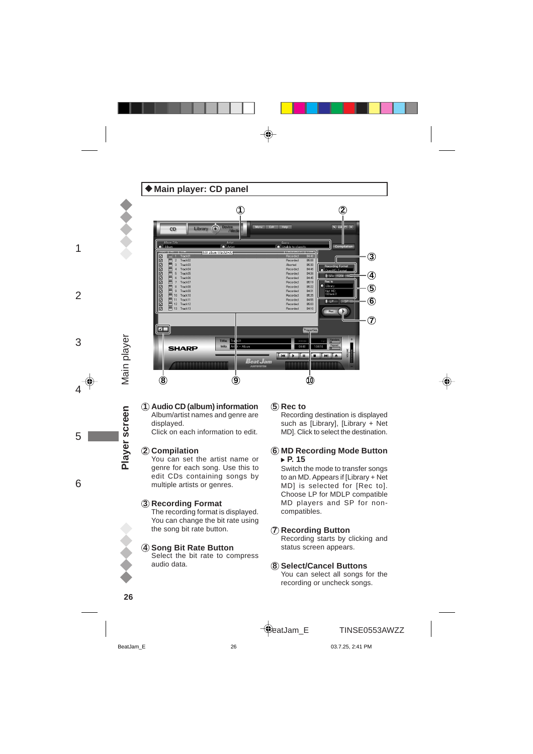



**1 Audio CD (album) information** Album/artist names and genre are displayed.

Click on each information to edit.

#### **2 Compilation**

1

2

3

4

5

Player screen

6

You can set the artist name or genre for each song. Use this to edit CDs containing songs by multiple artists or genres.

#### **3 Recording Format**

The recording format is displayed. You can change the bit rate using the song bit rate button.

#### **4 Song Bit Rate Button**

Select the bit rate to compress audio data.

#### **5 Rec to**

Recording destination is displayed such as [Library], [Library + Net MD]. Click to select the destination.

#### **6 MD Recording Mode Button P. 15**

Switch the mode to transfer songs to an MD. Appears if [Library + Net MD] is selected for [Rec to]. Choose LP for MDLP compatible MD players and SP for noncompatibles.

#### **7 Recording Button**

Recording starts by clicking and status screen appears.

#### **8 Select/Cancel Buttons**

You can select all songs for the recording or uncheck songs.

**BeatJam\_E** TINSE0553AWZZ

26

BeatJam\_E 26 26 03.7.25, 2:41 PM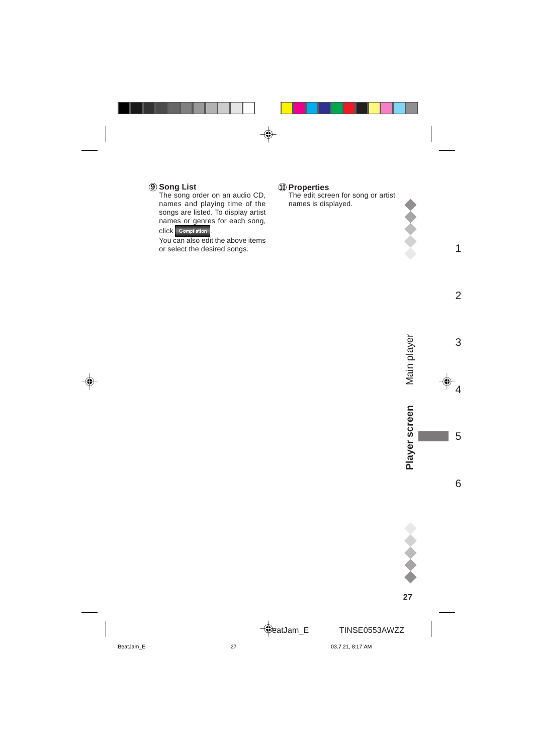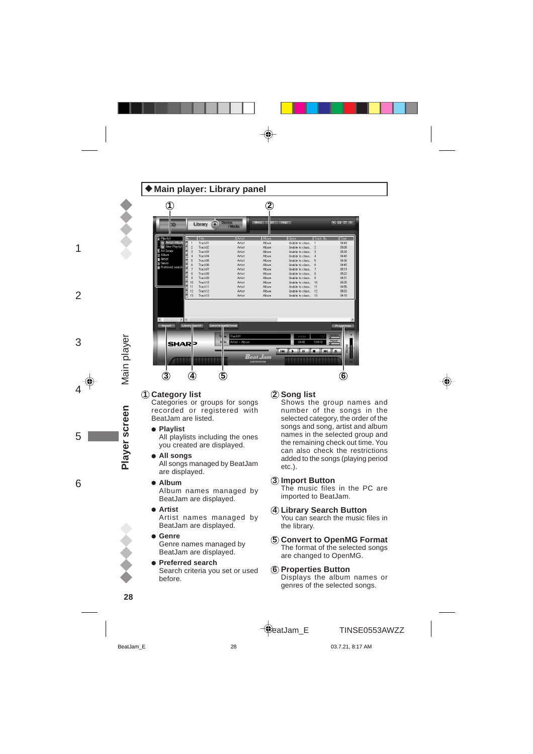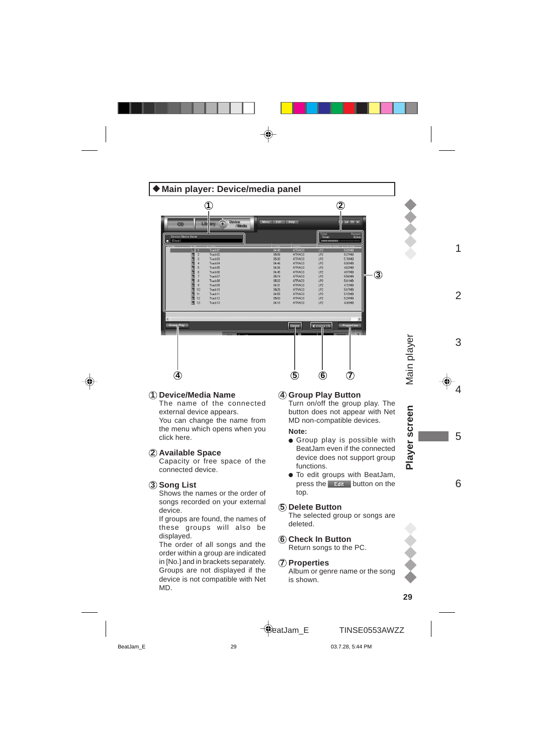

BeatJam\_E 29 29 03.7.28, 5:44 PM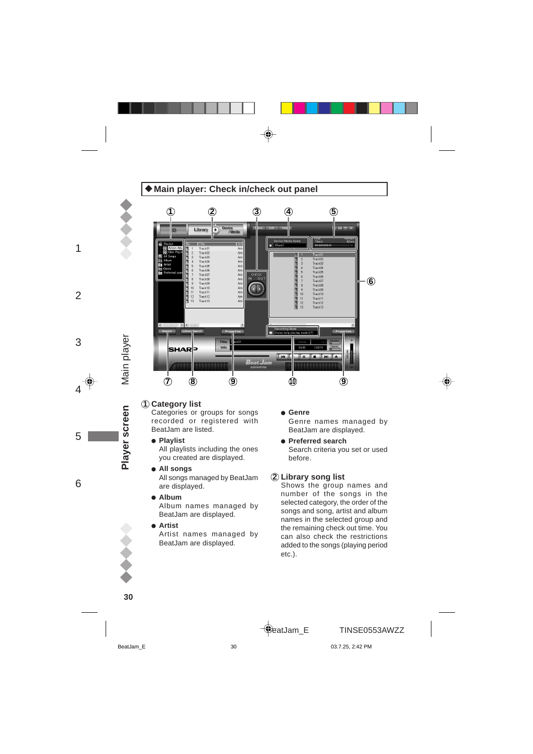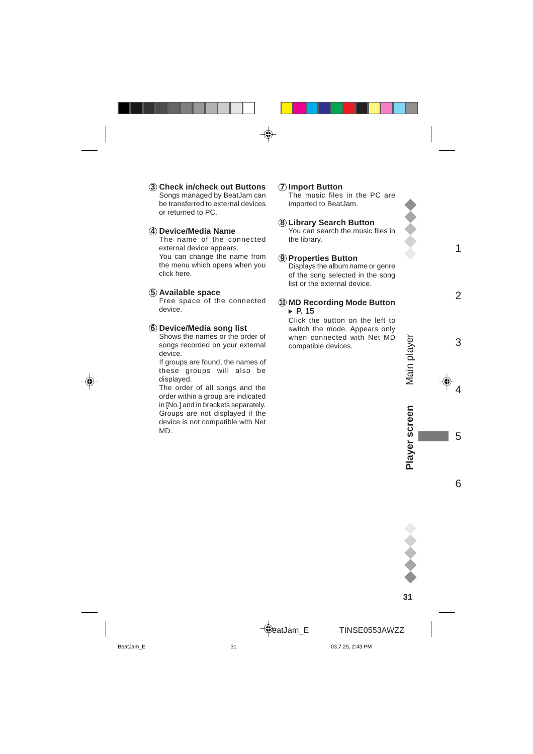#### **3 Check in/check out Buttons** Songs managed by BeatJam can be transferred to external devices or returned to PC.

**4 Device/Media Name**

The name of the connected external device appears. You can change the name from the menu which opens when you click here.

#### **5 Available space**

Free space of the connected device.

#### **6 Device/Media song list**

Shows the names or the order of songs recorded on your external device.

If groups are found, the names of these groups will also be displayed.

The order of all songs and the order within a group are indicated in [No.] and in brackets separately. Groups are not displayed if the device is not compatible with Net MD.

#### **7 Import Button** The music files in the PC are

imported to BeatJam.

**8 Library Search Button** You can search the music files in the library.

#### **9 Properties Button**

Displays the album name or genre of the song selected in the song list or the external device.

#### **<sup>10</sup> MD Recording Mode Button P. 15**

Click the button on the left to switch the mode. Appears only when connected with Net MD compatible devices.



Main player

Player screen

6



BeatJam\_E 31 31 03.7.25, 2:43 PM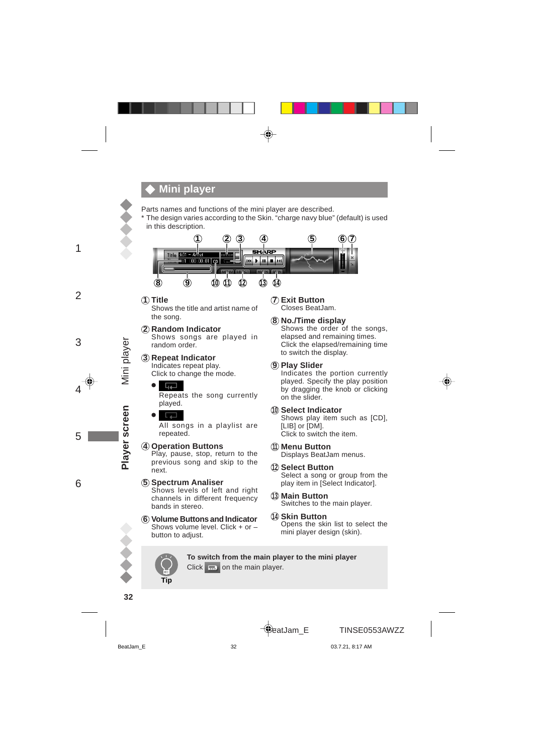### **Mini player**

Parts names and functions of the mini player are described. \* The design varies according to the Skin. "charge navy blue" (default) is used in this description. **1 2 3 5 6 7 4**

ะ⊬∖เฉ Title NOT = An  $000:00:01$ c ве∤ ∎∣∎ | во **8 9 <sup>10</sup> <sup>11</sup> <sup>12</sup> <sup>13</sup> <sup>14</sup>**

## **1 Title**

1

2

3

4

5

6

Shows the title and artist name of the song.

#### **2 Random Indicator**

Shows songs are played in random order.

#### **3 Repeat Indicator** Indicates repeat play.

Click to change the mode.

#### $\bullet$ Ŧ

Repeats the song currently played.

#### $\bullet$ ŀ

**Tip**

All songs in a playlist are repeated.

### **4 Operation Buttons**

Play, pause, stop, return to the previous song and skip to the next.

#### **5 Spectrum Analiser** Shows levels of left and right channels in different frequency bands in stereo.

**6 Volume Buttons and Indicator** Shows volume level. Click + or – button to adjust.

#### **7 Exit Button** Closes BeatJam.

#### **8 No./Time display**

Shows the order of the songs, elapsed and remaining times. Click the elapsed/remaining time to switch the display.

#### **9 Play Slider**

Indicates the portion currently played. Specify the play position by dragging the knob or clicking on the slider.

#### **<sup>10</sup> Select Indicator**

Shows play item such as [CD], [LIB] or [DM]. Click to switch the item.

#### **<sup>11</sup> Menu Button** Displays BeatJam menus.

**<sup>12</sup> Select Button**

#### Select a song or group from the play item in [Select Indicator].

**<sup>13</sup> Main Button** Switches to the main player.

**<sup>14</sup> Skin Button** Opens the skin list to select the mini player design (skin).

**To switch from the main player to the mini player** Click  $\boxed{\dots}$  on the main player.

**32**<br>**32**<br>**Blayer Screening Screen**<br>**32**  $32$ 

Mini player

Player screen



BeatJam\_E TINSE0553AWZZ

BeatJam\_E 32 32 03.7.21, 8:17 AM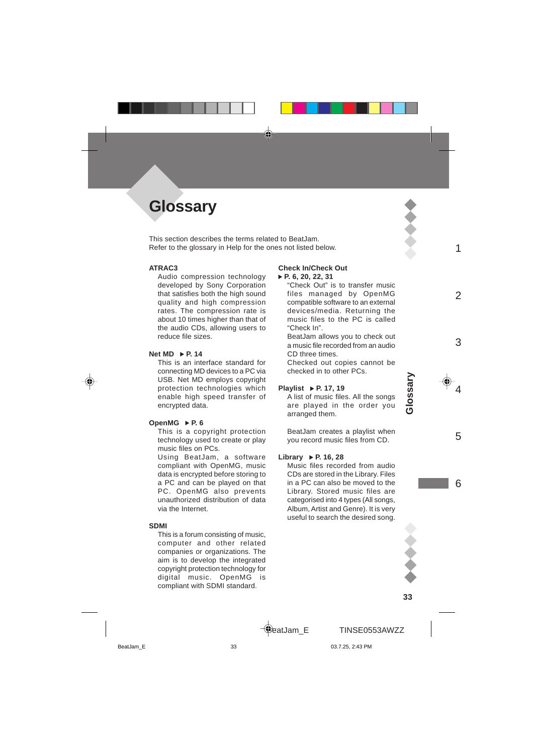

This section describes the terms related to BeatJam. Refer to the glossary in Help for the ones not listed below.

¢

#### **ATRAC3**

Audio compression technology developed by Sony Corporation that satisfies both the high sound quality and high compression rates. The compression rate is about 10 times higher than that of the audio CDs, allowing users to reduce file sizes.

#### **Net MD P. 14**

This is an interface standard for connecting MD devices to a PC via USB. Net MD employs copyright protection technologies which enable high speed transfer of encrypted data.

#### OpenMG  $\triangleright$  P. 6

This is a copyright protection technology used to create or play music files on PCs.

Using BeatJam, a software compliant with OpenMG, music data is encrypted before storing to a PC and can be played on that PC. OpenMG also prevents unauthorized distribution of data via the Internet.

#### **SDMI**

This is a forum consisting of music, computer and other related companies or organizations. The aim is to develop the integrated copyright protection technology for digital music. OpenMG is compliant with SDMI standard.

#### **Check In/Check Out P. 6, 20, 22, 31**

"Check Out" is to transfer music files managed by OpenMG compatible software to an external devices/media. Returning the music files to the PC is called "Check In". BeatJam allows you to check out

a music file recorded from an audio CD three times.

Checked out copies cannot be checked in to other PCs.

#### **Playlist ▶ P. 17, 19**

A list of music files. All the songs are played in the order you arranged them.

BeatJam creates a playlist when you record music files from CD.

#### Library **▶ P. 16, 28**

Music files recorded from audio CDs are stored in the Library. Files in a PC can also be moved to the Library. Stored music files are categorised into 4 types (All songs, Album, Artist and Genre). It is very useful to search the desired song.

33

**33** 

lossary



BeatJam\_E TINSE0553AWZZ

BeatJam\_E 33 33 03.7.25, 2:43 PM



2

1

3



5

6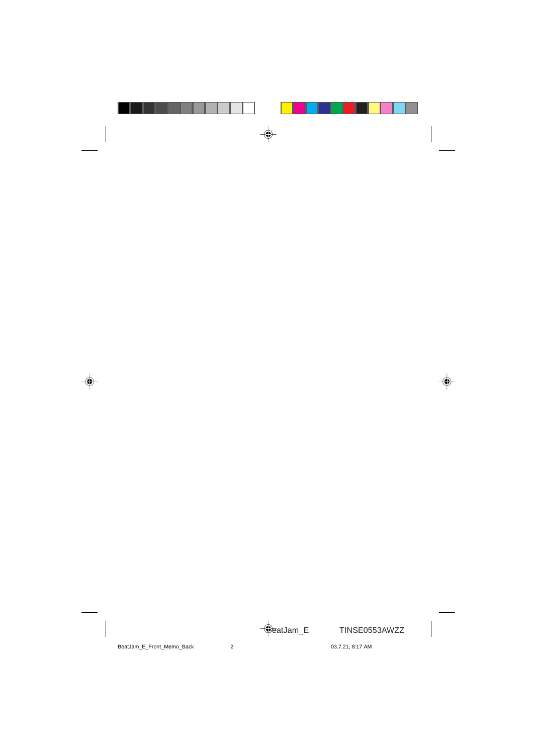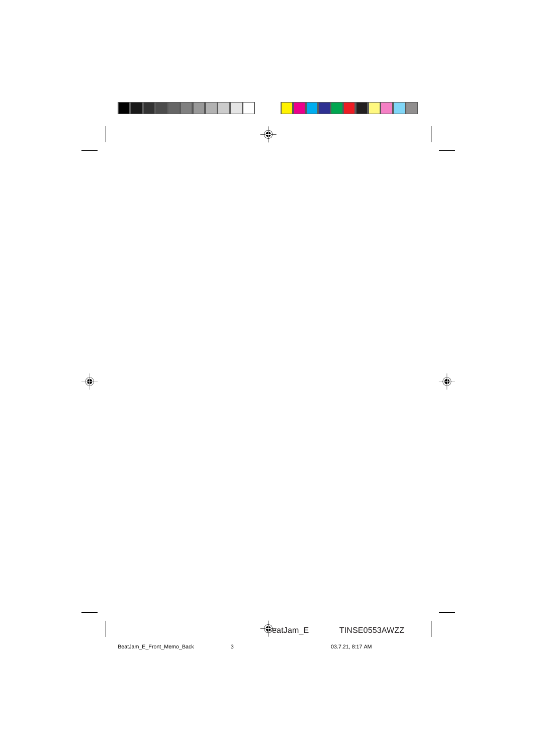